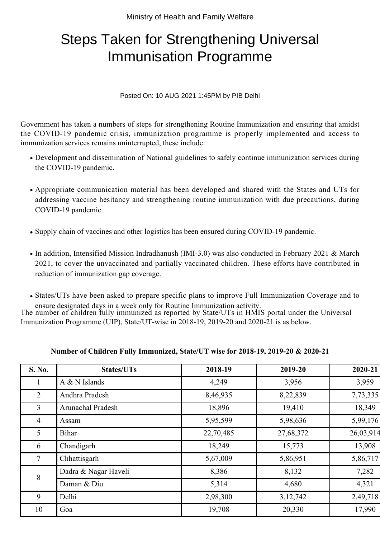## Steps Taken for Strengthening Universal Immunisation Programme

## Posted On: 10 AUG 2021 1:45PM by PIB Delhi

Government has taken a numbers of steps for strengthening Routine Immunization and ensuring that amidst the COVID-19 pandemic crisis, immunization programme is properly implemented and access to immunization services remains uninterrupted, these include:

- Development and dissemination of National guidelines to safely continue immunization services during the COVID-19 pandemic.
- Appropriate communication material has been developed and shared with the States and UTs for addressing vaccine hesitancy and strengthening routine immunization with due precautions, during COVID-19 pandemic.
- Supply chain of vaccines and other logistics has been ensured during COVID-19 pandemic.
- In addition, Intensified Mission Indradhanush (IMI-3.0) was also conducted in February 2021 & March 2021, to cover the unvaccinated and partially vaccinated children. These efforts have contributed in reduction of immunization gap coverage.
- States/UTs have been asked to prepare specific plans to improve Full Immunization Coverage and to ensure designated days in a week only for Routine Immunization activity.

The number of children fully immunized as reported by State/UTs in HMIS portal under the Universal Immunization Programme (UIP), State/UT-wise in 2018-19, 2019-20 and 2020-21 is as below.

| <b>S. No.</b>  | <b>States/UTs</b>    | 2018-19   | 2019-20   | 2020-21   |
|----------------|----------------------|-----------|-----------|-----------|
|                | $A & N$ Islands      | 4,249     | 3,956     | 3,959     |
| $\overline{2}$ | Andhra Pradesh       | 8,46,935  | 8,22,839  | 7,73,335  |
| 3              | Arunachal Pradesh    | 18,896    | 19,410    | 18,349    |
| $\overline{4}$ | Assam                | 5,95,599  | 5,98,636  | 5,99,176  |
| 5 <sup>5</sup> | <b>Bihar</b>         | 22,70,485 | 27,68,372 | 26,03,914 |
| 6              | Chandigarh           | 18,249    | 15,773    | 13,908    |
| $\tau$         | Chhattisgarh         | 5,67,009  | 5,86,951  | 5,86,717  |
| 8              | Dadra & Nagar Haveli | 8,386     | 8,132     | 7,282     |
|                | Daman & Diu          | 5,314     | 4,680     | 4,321     |
| 9              | Delhi                | 2,98,300  | 3,12,742  | 2,49,718  |
| 10             | Goa                  | 19,708    | 20,330    | 17,990    |

## **Number of Children Fully Immunized, State/UT wise for 2018-19, 2019-20 & 2020-21**